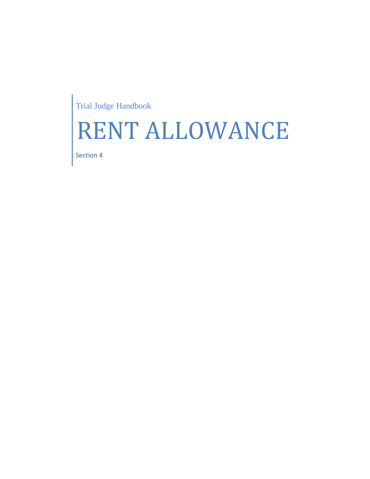Trial Judge Handbook

## RENT ALLOWANCE

Section 4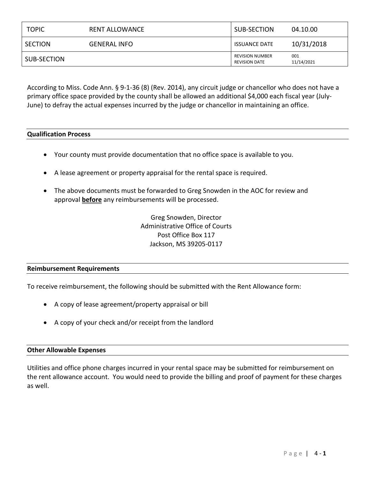| <b>TOPIC</b> | <b>RENT ALLOWANCE</b> | SUB-SECTION                                    | 04.10.00          |
|--------------|-----------------------|------------------------------------------------|-------------------|
| SECTION      | <b>GENERAL INFO</b>   | <b>ISSUANCE DATE</b>                           | 10/31/2018        |
| SUB-SECTION  |                       | <b>REVISION NUMBER</b><br><b>REVISION DATE</b> | 001<br>11/14/2021 |

According to Miss. Code Ann. § 9-1-36 (8) (Rev. 2014), any circuit judge or chancellor who does not have a primary office space provided by the county shall be allowed an additional \$4,000 each fiscal year (July-June) to defray the actual expenses incurred by the judge or chancellor in maintaining an office.

## **Qualification Process**

- Your county must provide documentation that no office space is available to you.
- A lease agreement or property appraisal for the rental space is required.
- The above documents must be forwarded to Greg Snowden in the AOC for review and approval **before** any reimbursements will be processed.

Greg Snowden, Director Administrative Office of Courts Post Office Box 117 Jackson, MS 39205-0117

## **Reimbursement Requirements**

To receive reimbursement, the following should be submitted with the Rent Allowance form:

- A copy of lease agreement/property appraisal or bill
- A copy of your check and/or receipt from the landlord

## **Other Allowable Expenses**

Utilities and office phone charges incurred in your rental space may be submitted for reimbursement on the rent allowance account. You would need to provide the billing and proof of payment for these charges as well.